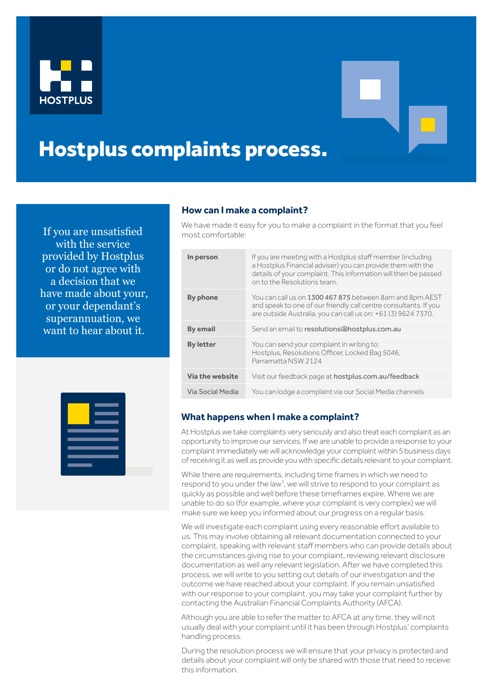



## Hostplus complaints process.

If you are unsatisfied<br>most comfortable: with the service provided by Hostplus or do not agree with a decision that we have made about your, or your dependant's superannuation, we want to hear about it.

## **How can I make a complaint?**

We have made it easy for you to make a complaint in the format that you feel

| In person        | If you are meeting with a Hostplus staff member (including<br>a Hostplus Financial adviser) you can provide them with the<br>details of your complaint. This information will then be passed<br>on to the Resolutions team. |
|------------------|-----------------------------------------------------------------------------------------------------------------------------------------------------------------------------------------------------------------------------|
| By phone         | You can call us on 1300 467 875 between 8am and 8pm AEST<br>and speak to one of our friendly call centre consultants. If you<br>are outside Australia, you can call us on: +61 (3) 9624 7370.                               |
| <b>By email</b>  | Send an email to resolutions@hostplus.com.au                                                                                                                                                                                |
| <b>By letter</b> | You can send your complaint in writing to:<br>Hostplus, Resolutions Officer, Locked Bag 5046.<br>Parramatta NSW 2124                                                                                                        |
| Via the website  | Visit our feedback page at hostplus.com.au/feedback                                                                                                                                                                         |
| Via Social Media | You can lodge a complaint via our Social Media channels                                                                                                                                                                     |



## **What happens when I make a complaint?**

At Hostplus we take complaints very seriously and also treat each complaint as an opportunity to improve our services. If we are unable to provide a response to your complaint immediately we will acknowledge your complaint within 5 business days of receiving it as well as provide you with specific details relevant to your complaint.

While there are requirements, including time frames in which we need to respond to you under the law<sup>1</sup>, we will strive to respond to your complaint as quickly as possible and well before these timeframes expire. Where we are unable to do so (for example, where your complaint is very complex) we will make sure we keep you informed about our progress on a regular basis.

We will investigate each complaint using every reasonable effort available to us. This may involve obtaining all relevant documentation connected to your complaint, speaking with relevant staff members who can provide details about the circumstances giving rise to your complaint, reviewing relevant disclosure documentation as well any relevant legislation. After we have completed this process, we will write to you setting out details of our investigation and the outcome we have reached about your complaint. If you remain unsatisfied with our response to your complaint, you may take your complaint further by contacting the Australian Financial Complaints Authority (AFCA).

Although you are able to refer the matter to AFCA at any time, they will not usually deal with your complaint until it has been through Hostplus' complaints handling process.

During the resolution process we will ensure that your privacy is protected and details about your complaint will only be shared with those that need to receive this information.